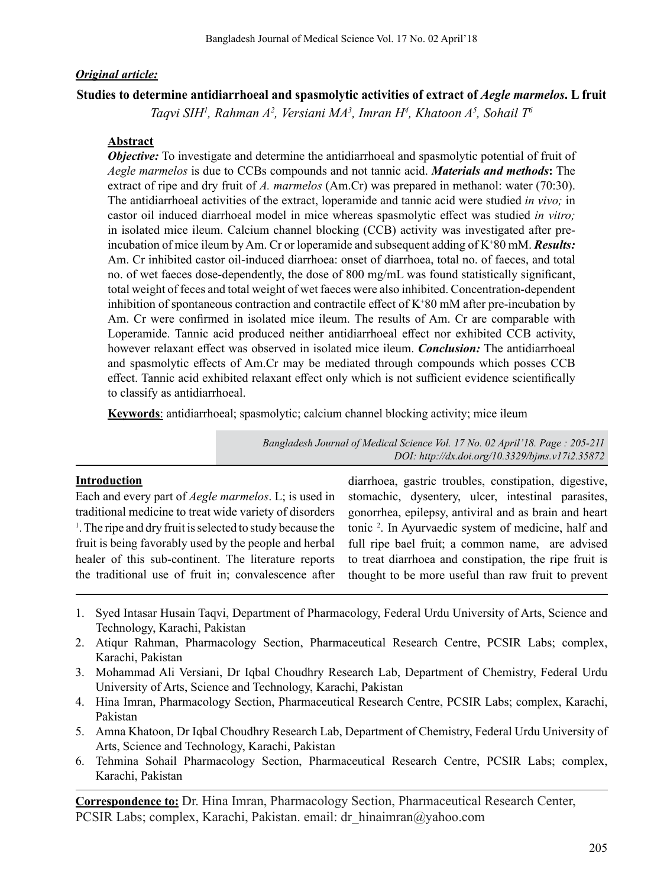### *Original article:*

### **Studies to determine antidiarrhoeal and spasmolytic activities of extract of** *Aegle marmelos***. L fruit**

*Taqvi SIH1 , Rahman A2 , Versiani MA3 , Imran H4 , Khatoon A5 , Sohail T6*

### **Abstract**

*Objective:* To investigate and determine the antidiarrhoeal and spasmolytic potential of fruit of *Aegle marmelos* is due to CCBs compounds and not tannic acid. *Materials and methods***:** The extract of ripe and dry fruit of *A. marmelos* (Am.Cr) was prepared in methanol: water (70:30). The antidiarrhoeal activities of the extract, loperamide and tannic acid were studied *in vivo;* in castor oil induced diarrhoeal model in mice whereas spasmolytic effect was studied *in vitro;* in isolated mice ileum. Calcium channel blocking (CCB) activity was investigated after preincubation of mice ileum by Am. Cr or loperamide and subsequent adding of K<sup>+</sup>80 mM. *Results*: Am. Cr inhibited castor oil-induced diarrhoea: onset of diarrhoea, total no. of faeces, and total no. of wet faeces dose-dependently, the dose of 800 mg/mL was found statistically significant, total weight of feces and total weight of wet faeces were also inhibited. Concentration-dependent inhibition of spontaneous contraction and contractile effect of K+ 80 mM after pre-incubation by Am. Cr were confirmed in isolated mice ileum. The results of Am. Cr are comparable with Loperamide. Tannic acid produced neither antidiarrhoeal effect nor exhibited CCB activity, however relaxant effect was observed in isolated mice ileum. *Conclusion:* The antidiarrhoeal and spasmolytic effects of Am.Cr may be mediated through compounds which posses CCB effect. Tannic acid exhibited relaxant effect only which is not sufficient evidence scientifically to classify as antidiarrhoeal.

**Keywords**: antidiarrhoeal; spasmolytic; calcium channel blocking activity; mice ileum

*Bangladesh Journal of Medical Science Vol. 17 No. 02 April'18. Page : 205-211 DOI: http://dx.doi.org/10.3329/bjms.v17i2.35872* 

### **Introduction**

Each and every part of *Aegle marmelos*. L; is used in traditional medicine to treat wide variety of disorders <sup>1</sup>. The ripe and dry fruit is selected to study because the fruit is being favorably used by the people and herbal healer of this sub-continent. The literature reports the traditional use of fruit in; convalescence after

diarrhoea, gastric troubles, constipation, digestive, stomachic, dysentery, ulcer, intestinal parasites, gonorrhea, epilepsy, antiviral and as brain and heart tonic 2 . In Ayurvaedic system of medicine, half and full ripe bael fruit; a common name, are advised to treat diarrhoea and constipation, the ripe fruit is thought to be more useful than raw fruit to prevent

- 1. Syed Intasar Husain Taqvi, Department of Pharmacology, Federal Urdu University of Arts, Science and Technology, Karachi, Pakistan
- 2. Atiqur Rahman, Pharmacology Section, Pharmaceutical Research Centre, PCSIR Labs; complex, Karachi, Pakistan
- 3. Mohammad Ali Versiani, Dr Iqbal Choudhry Research Lab, Department of Chemistry, Federal Urdu University of Arts, Science and Technology, Karachi, Pakistan
- 4. Hina Imran, Pharmacology Section, Pharmaceutical Research Centre, PCSIR Labs; complex, Karachi, Pakistan
- 5. Amna Khatoon, Dr Iqbal Choudhry Research Lab, Department of Chemistry, Federal Urdu University of Arts, Science and Technology, Karachi, Pakistan
- 6. Tehmina Sohail Pharmacology Section, Pharmaceutical Research Centre, PCSIR Labs; complex, Karachi, Pakistan

**Correspondence to:** Dr. Hina Imran, Pharmacology Section, Pharmaceutical Research Center, PCSIR Labs; complex, Karachi, Pakistan. email: dr\_hinaimran@yahoo.com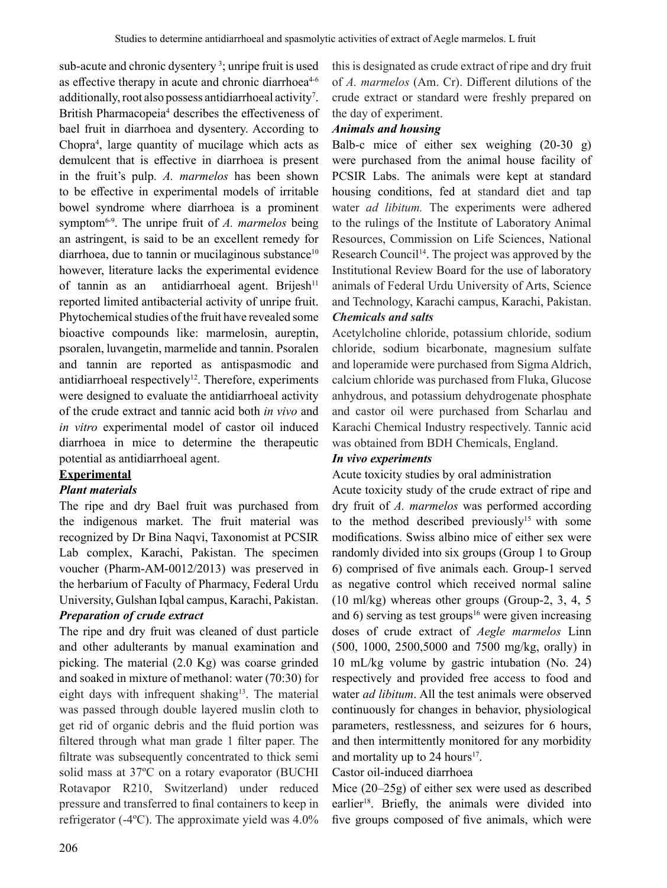sub-acute and chronic dysentery<sup>3</sup>; unripe fruit is used as effective therapy in acute and chronic diarrhoea<sup>4-6</sup> additionally, root also possess antidiarrhoeal activity<sup>7</sup>. British Pharmacopeia<sup>4</sup> describes the effectiveness of bael fruit in diarrhoea and dysentery. According to Chopra<sup>4</sup> , large quantity of mucilage which acts as demulcent that is effective in diarrhoea is present in the fruit's pulp. *A. marmelos* has been shown to be effective in experimental models of irritable bowel syndrome where diarrhoea is a prominent symptom6-9. The unripe fruit of *A. marmelos* being an astringent, is said to be an excellent remedy for diarrhoea, due to tannin or mucilaginous substance<sup>10</sup> however, literature lacks the experimental evidence of tannin as an antidiarrhoeal agent. Brijesh<sup>11</sup> reported limited antibacterial activity of unripe fruit. Phytochemical studies of the fruit have revealed some bioactive compounds like: marmelosin, aureptin, psoralen, luvangetin, marmelide and tannin. Psoralen and tannin are reported as antispasmodic and antidiarrhoeal respectively<sup>12</sup>. Therefore, experiments were designed to evaluate the antidiarrhoeal activity of the crude extract and tannic acid both *in vivo* and *in vitro* experimental model of castor oil induced diarrhoea in mice to determine the therapeutic potential as antidiarrhoeal agent.

# **Experimental**

# *Plant materials*

The ripe and dry Bael fruit was purchased from the indigenous market. The fruit material was recognized by Dr Bina Naqvi, Taxonomist at PCSIR Lab complex, Karachi, Pakistan. The specimen voucher (Pharm-AM-0012/2013) was preserved in the herbarium of Faculty of Pharmacy, Federal Urdu University, Gulshan Iqbal campus, Karachi, Pakistan.

# *Preparation of crude extract*

The ripe and dry fruit was cleaned of dust particle and other adulterants by manual examination and picking. The material (2.0 Kg) was coarse grinded and soaked in mixture of methanol: water (70:30) for eight days with infrequent shaking<sup>13</sup>. The material was passed through double layered muslin cloth to get rid of organic debris and the fluid portion was filtered through what man grade 1 filter paper. The filtrate was subsequently concentrated to thick semi solid mass at 37ºC on a rotary evaporator (BUCHI Rotavapor R210, Switzerland) under reduced pressure and transferred to final containers to keep in refrigerator (-4ºC). The approximate yield was 4.0%

this is designated as crude extract of ripe and dry fruit of *A. marmelos* (Am. Cr). Different dilutions of the crude extract or standard were freshly prepared on the day of experiment.

# *Animals and housing*

Balb-c mice of either sex weighing (20-30 g) were purchased from the animal house facility of PCSIR Labs. The animals were kept at standard housing conditions, fed at standard diet and tap water *ad libitum.* The experiments were adhered to the rulings of the Institute of Laboratory Animal Resources, Commission on Life Sciences, National Research Council<sup>14</sup>. The project was approved by the Institutional Review Board for the use of laboratory animals of Federal Urdu University of Arts, Science and Technology, Karachi campus, Karachi, Pakistan. *Chemicals and salts*

Acetylcholine chloride, potassium chloride, sodium chloride, sodium bicarbonate, magnesium sulfate and loperamide were purchased from Sigma Aldrich, calcium chloride was purchased from Fluka, Glucose anhydrous, and potassium dehydrogenate phosphate and castor oil were purchased from Scharlau and Karachi Chemical Industry respectively. Tannic acid was obtained from BDH Chemicals, England.

# *In vivo experiments*

# Acute toxicity studies by oral administration

Acute toxicity study of the crude extract of ripe and dry fruit of *A. marmelos* was performed according to the method described previously<sup>15</sup> with some modifications. Swiss albino mice of either sex were randomly divided into six groups (Group 1 to Group 6) comprised of five animals each. Group-1 served as negative control which received normal saline (10 ml/kg) whereas other groups (Group-2, 3, 4, 5 and  $6$ ) serving as test groups<sup>16</sup> were given increasing doses of crude extract of *Aegle marmelos* Linn (500, 1000, 2500,5000 and 7500 mg/kg, orally) in 10 mL/kg volume by gastric intubation (No. 24) respectively and provided free access to food and water *ad libitum*. All the test animals were observed continuously for changes in behavior, physiological parameters, restlessness, and seizures for 6 hours, and then intermittently monitored for any morbidity and mortality up to 24 hours<sup>17</sup>.

# Castor oil-induced diarrhoea

Mice (20–25g) of either sex were used as described earlier<sup>18</sup>. Briefly, the animals were divided into five groups composed of five animals, which were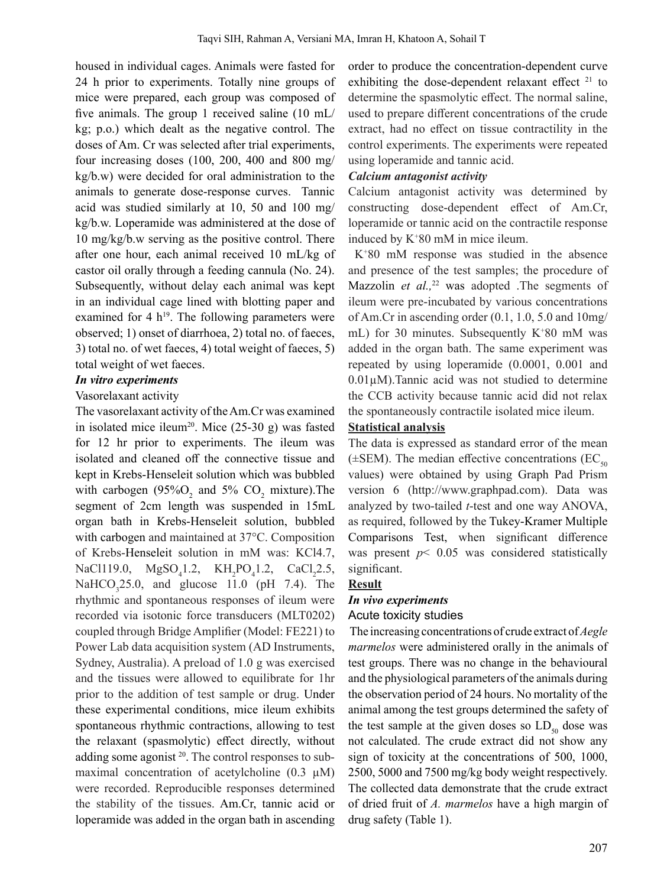housed in individual cages. Animals were fasted for 24 h prior to experiments. Totally nine groups of mice were prepared, each group was composed of five animals. The group 1 received saline (10 mL/ kg; p.o.) which dealt as the negative control. The doses of Am. Cr was selected after trial experiments, four increasing doses (100, 200, 400 and 800 mg/ kg/b.w) were decided for oral administration to the animals to generate dose-response curves. Tannic acid was studied similarly at 10, 50 and 100 mg/ kg/b.w. Loperamide was administered at the dose of 10 mg/kg/b.w serving as the positive control. There after one hour, each animal received 10 mL/kg of castor oil orally through a feeding cannula (No. 24). Subsequently, without delay each animal was kept in an individual cage lined with blotting paper and examined for 4  $h^{19}$ . The following parameters were observed; 1) onset of diarrhoea, 2) total no. of faeces, 3) total no. of wet faeces, 4) total weight of faeces, 5) total weight of wet faeces.

#### *In vitro experiments*

#### Vasorelaxant activity

The vasorelaxant activity of theAm.Cr was examined in isolated mice ileum<sup>20</sup>. Mice  $(25-30 g)$  was fasted for 12 hr prior to experiments. The ileum was isolated and cleaned off the connective tissue and kept in Krebs-Henseleit solution which was bubbled with carbogen  $(95\%O_2)$  and 5% CO<sub>2</sub> mixture). The segment of 2cm length was suspended in 15mL organ bath in Krebs-Henseleit solution, bubbled with carbogen and maintained at 37°C. Composition of Krebs-Henseleit solution in mM was: KCl4.7, NaCl119.0,  $MgSO_41.2$ ,  $KH_2PO_41.2$ ,  $CaCl_22.5$ ,  $NaHCO<sub>3</sub>25.0$ , and glucose 11.0 (pH 7.4). The rhythmic and spontaneous responses of ileum were recorded via isotonic force transducers (MLT0202) coupled through Bridge Amplifier (Model: FE221) to Power Lab data acquisition system (AD Instruments, Sydney, Australia). A preload of 1.0 g was exercised and the tissues were allowed to equilibrate for 1hr prior to the addition of test sample or drug. Under these experimental conditions, mice ileum exhibits spontaneous rhythmic contractions, allowing to test the relaxant (spasmolytic) effect directly, without adding some agonist<sup>20</sup>. The control responses to submaximal concentration of acetylcholine  $(0.3 \mu M)$ were recorded. Reproducible responses determined the stability of the tissues. Am.Cr, tannic acid or loperamide was added in the organ bath in ascending

order to produce the concentration-dependent curve exhibiting the dose-dependent relaxant effect <sup>21</sup> to determine the spasmolytic effect. The normal saline, used to prepare different concentrations of the crude extract, had no effect on tissue contractility in the control experiments. The experiments were repeated using loperamide and tannic acid.

### *Calcium antagonist activity*

Calcium antagonist activity was determined by constructing dose-dependent effect of Am.Cr, loperamide or tannic acid on the contractile response induced by K<sup>+</sup> 80 mM in mice ileum.

 K<sup>+</sup> 80 mM response was studied in the absence and presence of the test samples; the procedure of Mazzolin *et al.*<sup>22</sup> was adopted .The segments of ileum were pre-incubated by various concentrations of Am.Cr in ascending order (0.1, 1.0, 5.0 and 10mg/ mL) for 30 minutes. Subsequently K+ 80 mM was added in the organ bath. The same experiment was repeated by using loperamide (0.0001, 0.001 and 0.01µM).Tannic acid was not studied to determine the CCB activity because tannic acid did not relax the spontaneously contractile isolated mice ileum.

### **Statistical analysis**

The data is expressed as standard error of the mean ( $\pm$ SEM). The median effective concentrations (EC<sub>50</sub>) values) were obtained by using Graph Pad Prism version 6 (http://www.graphpad.com). Data was analyzed by two-tailed *t*-test and one way ANOVA, as required, followed by the Tukey-Kramer Multiple Comparisons Test, when significant difference was present  $p < 0.05$  was considered statistically significant.

# **Result**

### *In vivo experiments*

### Acute toxicity studies

 The increasing concentrations of crude extract of *Aegle marmelos* were administered orally in the animals of test groups. There was no change in the behavioural and the physiological parameters of the animals during the observation period of 24 hours. No mortality of the animal among the test groups determined the safety of the test sample at the given doses so  $LD_{50}$  dose was not calculated. The crude extract did not show any sign of toxicity at the concentrations of 500, 1000, 2500, 5000 and 7500 mg/kg body weight respectively. The collected data demonstrate that the crude extract of dried fruit of *A. marmelos* have a high margin of drug safety (Table 1).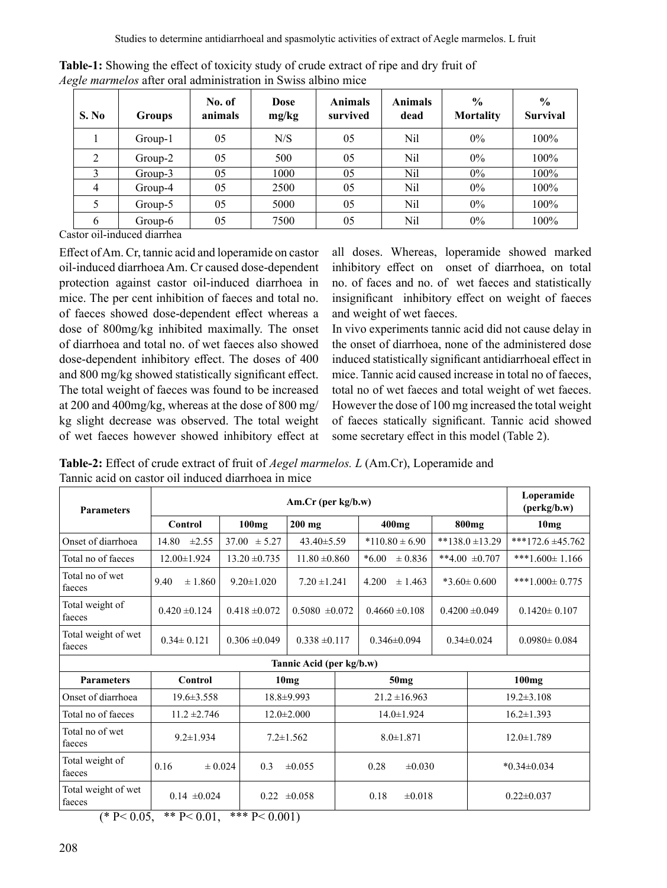| S. No          | <b>Groups</b> | No. of<br>animals | Dose<br>mg/kg | <b>Animals</b><br>survived | <b>Animals</b><br>dead | $\frac{0}{0}$<br><b>Mortality</b> | $\frac{0}{0}$<br><b>Survival</b> |
|----------------|---------------|-------------------|---------------|----------------------------|------------------------|-----------------------------------|----------------------------------|
|                | Group-1       | 05                | N/S           | 05                         | Nil                    | $0\%$                             | 100%                             |
| 2              | $Group-2$     | 05                | 500           | 05                         | Nil                    | $0\%$                             | 100%                             |
|                | $Group-3$     | 05                | 1000          | 05                         | Nil                    | $0\%$                             | 100%                             |
| $\overline{4}$ | Group-4       | 05                | 2500          | 05                         | Nil                    | $0\%$                             | 100%                             |
|                | Group-5       | 05                | 5000          | 05                         | Nil                    | $0\%$                             | 100%                             |
| 6              | Group-6       | 05                | 7500          | 05                         | Nil                    | $0\%$                             | 100%                             |

**Table-1:** Showing the effect of toxicity study of crude extract of ripe and dry fruit of *Aegle marmelos* after oral administration in Swiss albino mice

Castor oil-induced diarrhea

Effect ofAm.Cr, tannic acid and loperamide on castor oil-induced diarrhoea Am. Cr caused dose-dependent protection against castor oil-induced diarrhoea in mice. The per cent inhibition of faeces and total no. of faeces showed dose-dependent effect whereas a dose of 800mg/kg inhibited maximally. The onset of diarrhoea and total no. of wet faeces also showed dose-dependent inhibitory effect. The doses of 400 and 800 mg/kg showed statistically significant effect. The total weight of faeces was found to be increased at 200 and 400mg/kg, whereas at the dose of 800 mg/ kg slight decrease was observed. The total weight of wet faeces however showed inhibitory effect at

all doses. Whereas, loperamide showed marked inhibitory effect on onset of diarrhoea, on total no. of faces and no. of wet faeces and statistically insignificant inhibitory effect on weight of faeces and weight of wet faeces.

In vivo experiments tannic acid did not cause delay in the onset of diarrhoea, none of the administered dose induced statistically significant antidiarrhoeal effect in mice. Tannic acid caused increase in total no of faeces, total no of wet faeces and total weight of wet faeces. However the dose of 100 mg increased the total weight of faeces statically significant. Tannic acid showed some secretary effect in this model (Table 2).

**Table-2:** Effect of crude extract of fruit of *Aegel marmelos. L* (Am.Cr), Loperamide and Tannic acid on castor oil induced diarrhoea in mice

| <b>Parameters</b>                                     | $Am.Cr$ (per kg/b.w)                                 |                   |                    |                    |                  |                        |                    |                     |                      | Loperamide<br>(perkg/b.w) |  |
|-------------------------------------------------------|------------------------------------------------------|-------------------|--------------------|--------------------|------------------|------------------------|--------------------|---------------------|----------------------|---------------------------|--|
|                                                       | 100mg<br>Control                                     |                   |                    | $200$ mg           |                  | $400$ mg               |                    | 800 <sub>mg</sub>   |                      | 10mg                      |  |
| Onset of diarrhoea                                    | 14.80<br>$\pm 2.55$                                  | $37.00 \pm 5.27$  |                    | $43.40 \pm 5.59$   |                  | $*110.80 \pm 6.90$     |                    | $**138.0 \pm 13.29$ |                      | ***172.6 $\pm$ 45.762     |  |
| Total no of faeces                                    | 12.00±1.924                                          | $13.20 \pm 0.735$ |                    | $11.80 \pm 0.860$  |                  | $*6.00$<br>$\pm 0.836$ |                    | **4.00 $\pm$ 0.707  | ***1.600 $\pm$ 1.166 |                           |  |
| Total no of wet<br>faeces                             | ± 1.860<br>9.40                                      | $9.20 \pm 1.020$  |                    | $7.20 \pm 1.241$   |                  | 4.200                  | $\pm 1.463$        | $*3.60 \pm 0.600$   |                      | ***1.000 $\pm$ 0.775      |  |
| Total weight of<br>faeces                             | $0.420 \pm 0.124$                                    |                   | $0.418 \pm 0.072$  | $0.5080 \pm 0.072$ |                  |                        | $0.4660 \pm 0.108$ | $0.4200 \pm 0.049$  |                      | $0.1420 \pm 0.107$        |  |
| Total weight of wet<br>faeces                         | $0.34 \pm 0.121$                                     | $0.306 \pm 0.049$ |                    | $0.338 \pm 0.117$  |                  |                        | $0.346 \pm 0.094$  |                     | $0.34 \pm 0.024$     | $0.0980 \pm 0.084$        |  |
| Tannic Acid (per kg/b.w)                              |                                                      |                   |                    |                    |                  |                        |                    |                     |                      |                           |  |
| <b>Parameters</b>                                     | Control                                              |                   | 10mg               |                    | 50 <sub>mg</sub> |                        |                    |                     | 100mg                |                           |  |
| Onset of diarrhoea                                    | $19.6 \pm 3.558$                                     |                   | 18.8±9.993         |                    |                  | $21.2 \pm 16.963$      |                    |                     | $19.2 \pm 3.108$     |                           |  |
| Total no of faeces                                    | $11.2 \pm 2.746$                                     |                   | $12.0 \pm 2.000$   |                    |                  | $14.0 \pm 1.924$       |                    |                     | $16.2 \pm 1.393$     |                           |  |
| Total no of wet<br>faeces                             | $9.2 \pm 1.934$                                      |                   | $7.2 \pm 1.562$    |                    |                  | $8.0 \pm 1.871$        |                    |                     | $12.0 \pm 1.789$     |                           |  |
| Total weight of<br>faeces                             | 0.16<br>$\pm 0.024$                                  |                   | 0.3<br>$\pm 0.055$ |                    |                  | $\pm 0.030$<br>0.28    |                    |                     |                      | $*0.34 \pm 0.034$         |  |
| Total weight of wet<br>faeces<br>$\sim$ $\sim$ $\sim$ | $0.14 \pm 0.024$<br>$\cdots$<br>$\sim$ $\sim$ $\sim$ |                   | $\cdots$           | $0.22 \pm 0.058$   |                  | 0.18                   | $\pm 0.018$        |                     |                      | $0.22 \pm 0.037$          |  |

(\* P < 0.05, \*\* P < 0.01, \*\*\* P < 0.001)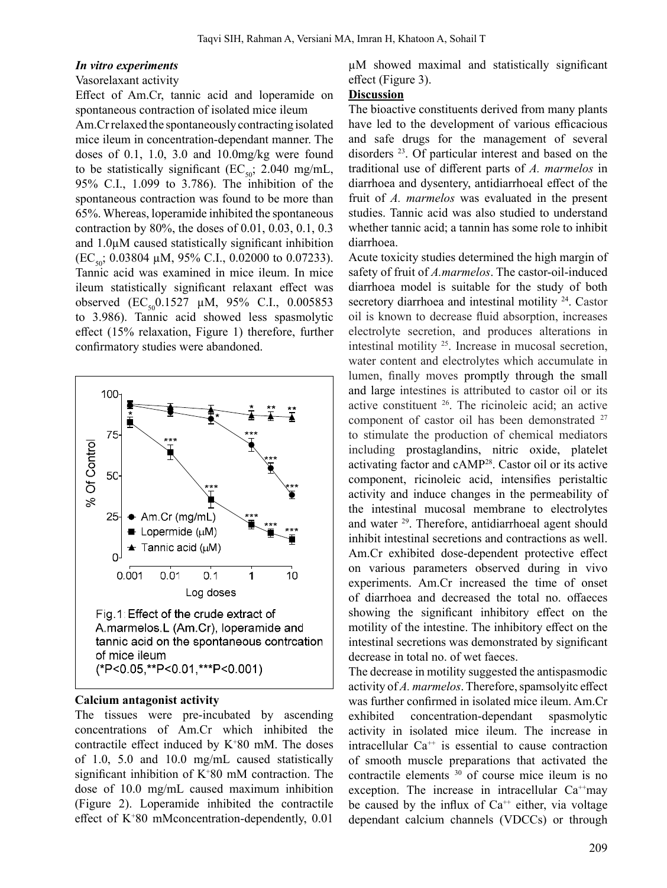#### *In vitro experiments*

### Vasorelaxant activity

Effect of Am.Cr, tannic acid and loperamide on spontaneous contraction of isolated mice ileum

Am.Cr relaxed the spontaneously contracting isolated mice ileum in concentration-dependant manner. The doses of 0.1, 1.0, 3.0 and 10.0mg/kg were found to be statistically significant (EC<sub>50</sub>; 2.040 mg/mL, 95% C.I., 1.099 to 3.786). The inhibition of the spontaneous contraction was found to be more than 65%. Whereas, loperamide inhibited the spontaneous contraction by 80%, the doses of 0.01, 0.03, 0.1, 0.3 and 1.0µM caused statistically significant inhibition  $(EC_{50}; 0.03804 \mu M, 95\% \text{ C.I., } 0.02000 \text{ to } 0.07233).$ Tannic acid was examined in mice ileum. In mice ileum statistically significant relaxant effect was observed  $(EC_{50}0.1527 \mu M, 95\% \text{ C.I., } 0.005853)$ to 3.986). Tannic acid showed less spasmolytic effect (15% relaxation, Figure 1) therefore, further confirmatory studies were abandoned.



#### **Calcium antagonist activity**

The tissues were pre-incubated by ascending concentrations of Am.Cr which inhibited the contractile effect induced by  $K^+80$  mM. The doses of 1.0, 5.0 and 10.0 mg/mL caused statistically significant inhibition of K+ 80 mM contraction. The dose of 10.0 mg/mL caused maximum inhibition (Figure 2). Loperamide inhibited the contractile effect of K+ 80 mMconcentration-dependently, 0.01 µM showed maximal and statistically significant effect (Figure 3).

#### **Discussion**

The bioactive constituents derived from many plants have led to the development of various efficacious and safe drugs for the management of several disorders 23. Of particular interest and based on the traditional use of different parts of *A. marmelos* in diarrhoea and dysentery, antidiarrhoeal effect of the fruit of *A. marmelos* was evaluated in the present studies. Tannic acid was also studied to understand whether tannic acid; a tannin has some role to inhibit diarrhoea.

Acute toxicity studies determined the high margin of safety of fruit of *A.marmelos*. The castor-oil-induced diarrhoea model is suitable for the study of both secretory diarrhoea and intestinal motility <sup>24</sup>. Castor oil is known to decrease fluid absorption, increases electrolyte secretion, and produces alterations in intestinal motility 25. Increase in mucosal secretion, water content and electrolytes which accumulate in lumen, finally moves promptly through the small and large intestines is attributed to castor oil or its active constituent <sup>26</sup>. The ricinoleic acid; an active component of castor oil has been demonstrated <sup>27</sup> to stimulate the production of chemical mediators including prostaglandins, nitric oxide, platelet activating factor and cAMP28. Castor oil or its active component, ricinoleic acid, intensifies peristaltic activity and induce changes in the permeability of the intestinal mucosal membrane to electrolytes and water <sup>29</sup>. Therefore, antidiarrhoeal agent should inhibit intestinal secretions and contractions as well. Am.Cr exhibited dose-dependent protective effect on various parameters observed during in vivo experiments. Am.Cr increased the time of onset of diarrhoea and decreased the total no. offaeces showing the significant inhibitory effect on the motility of the intestine. The inhibitory effect on the intestinal secretions was demonstrated by significant decrease in total no. of wet faeces.

The decrease in motility suggested the antispasmodic activity of *A. marmelos*. Therefore, spamsolyitc effect was further confirmed in isolated mice ileum. Am.Cr exhibited concentration-dependant spasmolytic activity in isolated mice ileum. The increase in intracellular  $Ca^{++}$  is essential to cause contraction of smooth muscle preparations that activated the contractile elements 30 of course mice ileum is no exception. The increase in intracellular  $Ca^{+}$ may be caused by the influx of  $Ca^{++}$  either, via voltage dependant calcium channels (VDCCs) or through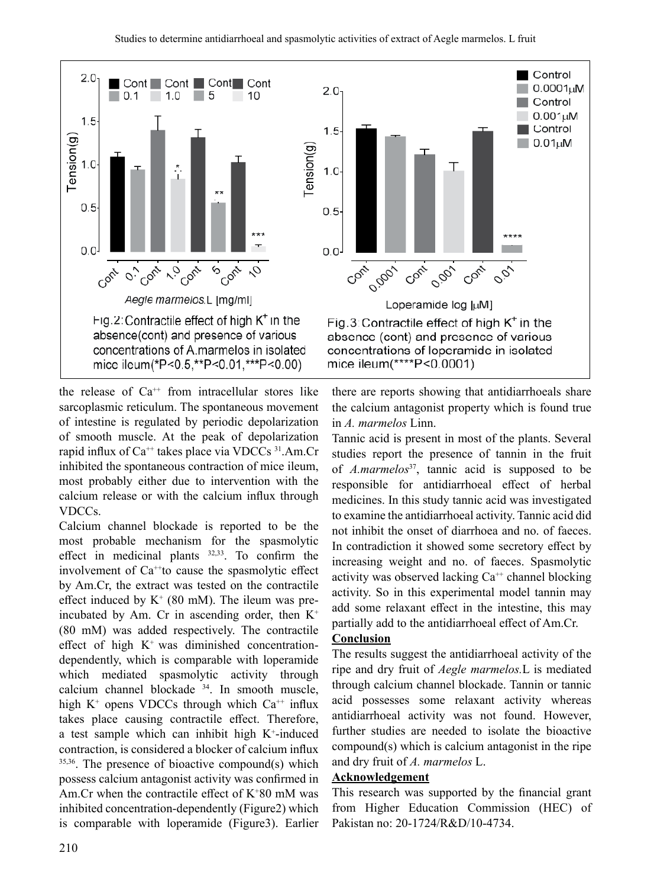

the release of  $Ca^{++}$  from intracellular stores like sarcoplasmic reticulum. The spontaneous movement of intestine is regulated by periodic depolarization of smooth muscle. At the peak of depolarization rapid influx of  $Ca^{++}$  takes place via VDCCs  $31$ .Am.Cr inhibited the spontaneous contraction of mice ileum, most probably either due to intervention with the calcium release or with the calcium influx through VDCCs.

Calcium channel blockade is reported to be the most probable mechanism for the spasmolytic effect in medicinal plants 32,33. To confirm the involvement of  $Ca^{++}$ to cause the spasmolytic effect by Am.Cr, the extract was tested on the contractile effect induced by  $K^+$  (80 mM). The ileum was preincubated by Am. Cr in ascending order, then  $K^+$ (80 mM) was added respectively. The contractile effect of high  $K^+$  was diminished concentrationdependently, which is comparable with loperamide which mediated spasmolytic activity through calcium channel blockade <sup>34</sup>. In smooth muscle, high  $K^+$  opens VDCCs through which  $Ca^{++}$  influx takes place causing contractile effect. Therefore, a test sample which can inhibit high  $K^+$ -induced contraction, is considered a blocker of calcium influx 35,36. The presence of bioactive compound(s) which possess calcium antagonist activity was confirmed in Am.Cr when the contractile effect of  $K^+80$  mM was inhibited concentration-dependently (Figure2) which is comparable with loperamide (Figure3). Earlier



there are reports showing that antidiarrhoeals share the calcium antagonist property which is found true in *A. marmelos* Linn.

Tannic acid is present in most of the plants. Several studies report the presence of tannin in the fruit of *A.marmelos*37, tannic acid is supposed to be responsible for antidiarrhoeal effect of herbal medicines. In this study tannic acid was investigated to examine the antidiarrhoeal activity. Tannic acid did not inhibit the onset of diarrhoea and no. of faeces. In contradiction it showed some secretory effect by increasing weight and no. of faeces. Spasmolytic activity was observed lacking  $Ca^{++}$  channel blocking activity. So in this experimental model tannin may add some relaxant effect in the intestine, this may partially add to the antidiarrhoeal effect of Am.Cr.

### **Conclusion**

The results suggest the antidiarrhoeal activity of the ripe and dry fruit of *Aegle marmelos.*L is mediated through calcium channel blockade. Tannin or tannic acid possesses some relaxant activity whereas antidiarrhoeal activity was not found. However, further studies are needed to isolate the bioactive compound(s) which is calcium antagonist in the ripe and dry fruit of *A. marmelos* L.

### **Acknowledgement**

This research was supported by the financial grant from Higher Education Commission (HEC) of Pakistan no: 20-1724/R&D/10-4734.